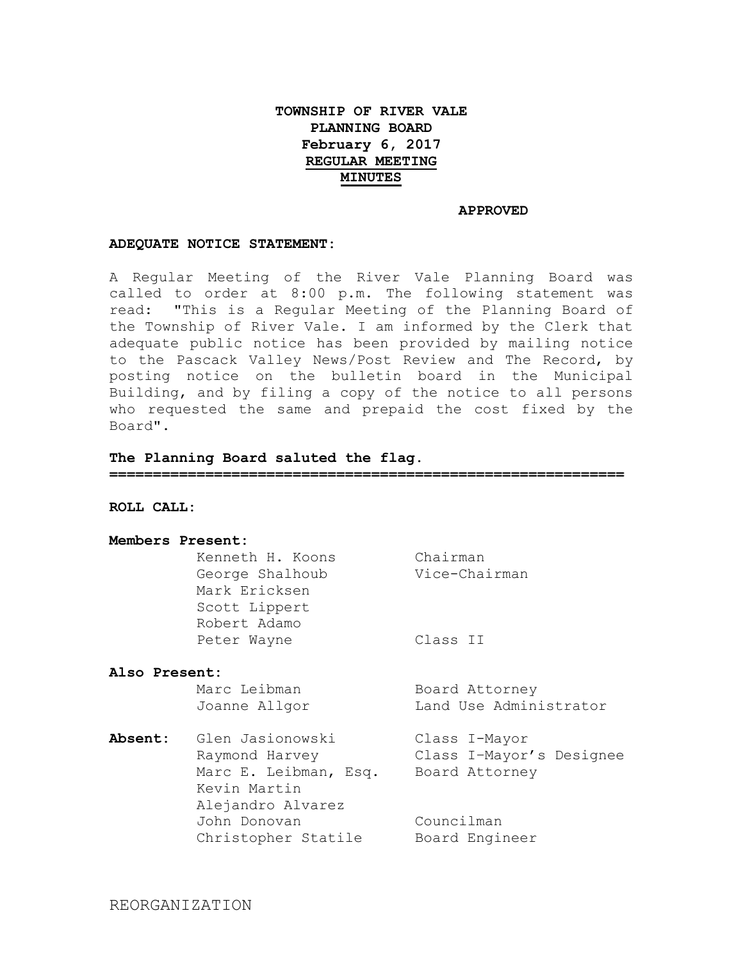# **TOWNSHIP OF RIVER VALE PLANNING BOARD February 6, 2017 REGULAR MEETING MINUTES**

#### **APPROVED**

#### **ADEQUATE NOTICE STATEMENT:**

A Regular Meeting of the River Vale Planning Board was called to order at 8:00 p.m. The following statement was read: "This is a Regular Meeting of the Planning Board of the Township of River Vale. I am informed by the Clerk that adequate public notice has been provided by mailing notice to the Pascack Valley News/Post Review and The Record, by posting notice on the bulletin board in the Municipal Building, and by filing a copy of the notice to all persons who requested the same and prepaid the cost fixed by the Board".

### **The Planning Board saluted the flag.**

**===========================================================**

**ROLL CALL:**

### **Members Present:**

|              | Kenneth H. Koons | Chairman      |
|--------------|------------------|---------------|
|              | George Shalhoub  | Vice-Chairman |
|              | Mark Ericksen    |               |
|              | Scott Lippert    |               |
| Robert Adamo |                  |               |
| Peter Wayne  |                  | Class II      |
|              |                  |               |

### **Also Present:**

| Marc Leibman  | Board Attorney         |
|---------------|------------------------|
| Joanne Allgor | Land Use Administrator |

**Absent:** Glen Jasionowski Class I-Mayor Raymond Harvey Class I–Mayor's Designee Marc E. Leibman, Esq. Board Attorney Kevin Martin Alejandro Alvarez John Donovan Councilman Christopher Statile Board Engineer